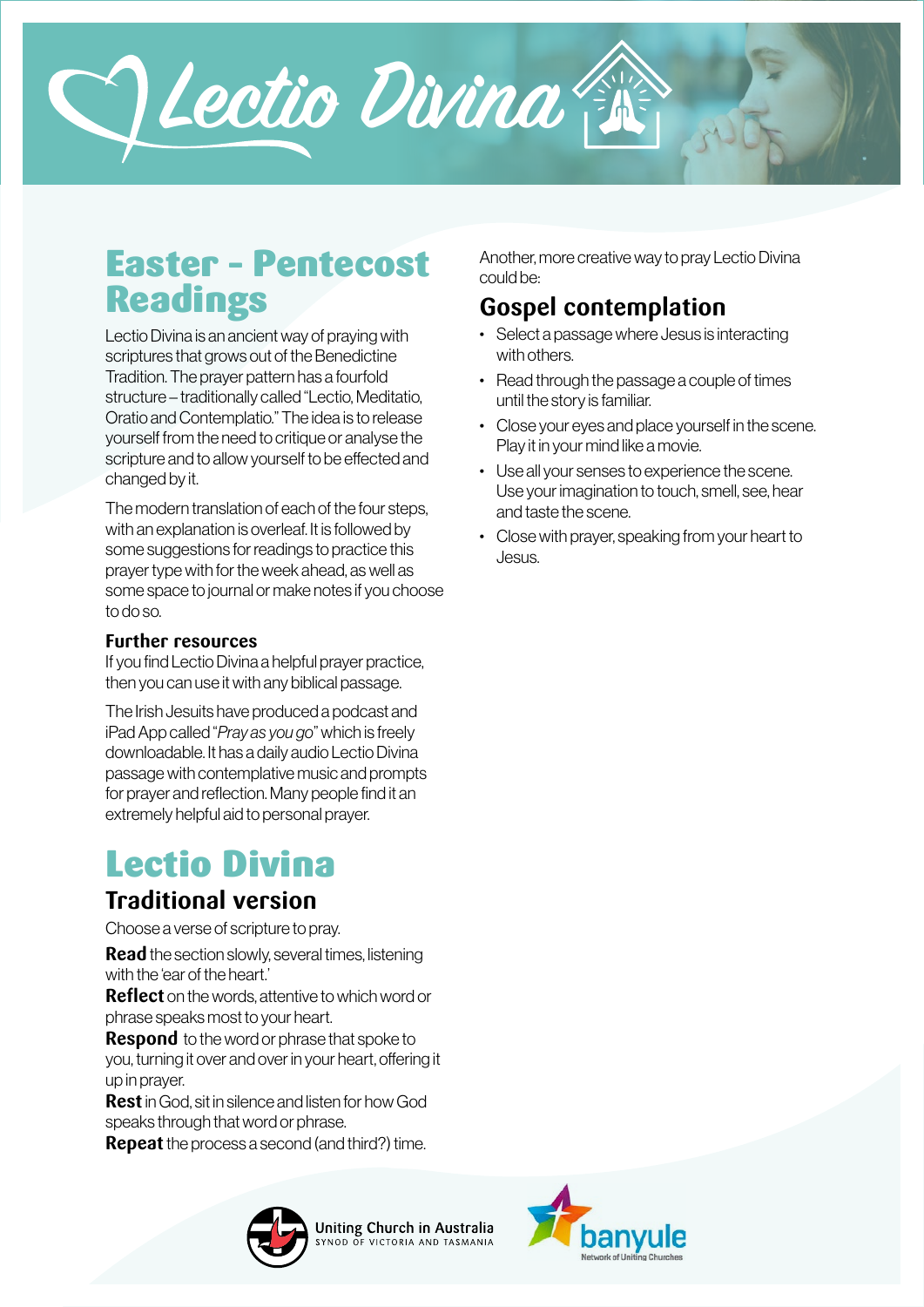

## Easter – Pentecost Readings

Lectio Divina is an ancient way of praying with scriptures that grows out of the Benedictine Tradition. The prayer pattern has a fourfold structure – traditionally called "Lectio, Meditatio, Oratio and Contemplatio." The idea is to release yourself from the need to critique or analyse the scripture and to allow yourself to be effected and changed by it.

The modern translation of each of the four steps, with an explanation is overleaf. It is followed by some suggestions for readings to practice this prayer type with for the week ahead, as well as some space to journal or make notes if you choose to do so.

#### **Further resources**

If you find Lectio Divina a helpful prayer practice, then you can use it with any biblical passage.

The Irish Jesuits have produced a podcast and iPad App called "*Pray as you go*" which is freely downloadable. It has a daily audio Lectio Divina passage with contemplative music and prompts for prayer and reflection. Many people find it an extremely helpful aid to personal prayer.

# Lectio Divina

### **Traditional version**

Choose a verse of scripture to pray.

**Read** the section slowly, several times, listening with the 'ear of the heart.'

**Reflect** on the words, attentive to which word or phrase speaks most to your heart.

**Respond** to the word or phrase that spoke to you, turning it over and over in your heart, offering it up in prayer.

**Rest** in God, sit in silence and listen for how God speaks through that word or phrase.

**Repeat** the process a second (and third?) time.



Another, more creative way to pray Lectio Divina could be:

## **Gospel contemplation**

- Select a passage where Jesus is interacting with others.
- Read through the passage a couple of times until the story is familiar.
- Close your eyes and place yourself in the scene. Play it in your mind like a movie.
- Use all your senses to experience the scene. Use your imagination to touch, smell, see, hear and taste the scene.
- Close with prayer, speaking from your heart to Jesus.